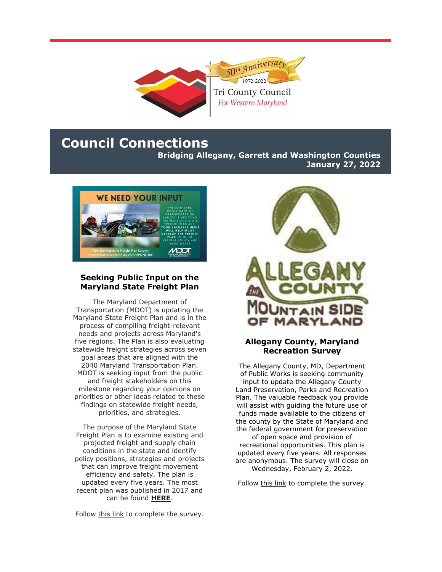

# **Council Connections**

**Bridging Allegany, Garrett and Washington Counties January 27, 2022**



#### **Seeking Public Input on the Maryland State Freight Plan**

The Maryland Department of Transportation (MDOT) is updating the Maryland State Freight Plan and is in the process of compiling freight-relevant needs and projects across Maryland's five regions. The Plan is also evaluating statewide freight strategies across seven goal areas that are aligned with the 2040 Maryland Transportation Plan. MDOT is seeking input from the public and freight stakeholders on this milestone regarding your opinions on priorities or other ideas related to these findings on statewide freight needs, priorities, and strategies.

The purpose of the Maryland State Freight Plan is to examine existing and projected freight and supply chain conditions in the state and identify policy positions, strategies and projects that can improve freight movement efficiency and safety. The plan is updated every five years. The most recent plan was published in 2017 and can be found **[HERE](https://r20.rs6.net/tn.jsp?f=001_CJEa_dwM1m2wk8mdlzkvJlqzprPWkzXKNMlMVZRtpwMqBXG52dZ1J5KTZ3tkPQh32IMwQNAWVCHAZTrCSKL0mOakWZEPTqUHgCLEkxTvhLKW6_jd2mR0qacrsijDXNoD-SBl8DfY6wMKnD2uDNPPs9h_j4vJc5Md3UMrsExbvaE6VRULdXZ8XQ1g3S9Z8d_wOSFnTZLB7__PLi0jp-58ZEgFUJZd2at5jiXnzEplcPGlLYvdH8yJQ==&c=1PNOujquh2qJSPhsYtxRRKmgHUCc8DzenmbOuLEtvQOwM6RVw9oJmg==&ch=mOaote4nCE7I8JSlk9n0KyKh6RKS-mIXvLinc1Xr2yTyO9r2iWQpuQ==)**.

Follow [this link](https://r20.rs6.net/tn.jsp?f=001_CJEa_dwM1m2wk8mdlzkvJlqzprPWkzXKNMlMVZRtpwMqBXG52dZ1J5KTZ3tkPQhmO0FYlAeknJ8n89hy4UOSq1irCAFYttbJuiRdOkE_MZN0219z5YG00f-RKtvXSLLa2x0NJ7DmTpsDiglsRbq7CAl_BMNhgsgou9mkS90zEU=&c=1PNOujquh2qJSPhsYtxRRKmgHUCc8DzenmbOuLEtvQOwM6RVw9oJmg==&ch=mOaote4nCE7I8JSlk9n0KyKh6RKS-mIXvLinc1Xr2yTyO9r2iWQpuQ==) to complete the survey.



#### **Allegany County, Maryland Recreation Survey**

The Allegany County, MD, Department of Public Works is seeking community input to update the Allegany County Land Preservation, Parks and Recreation Plan. The valuable feedback you provide will assist with guiding the future use of funds made available to the citizens of the county by the State of Maryland and the federal government for preservation of open space and provision of recreational opportunities. This plan is updated every five years. All responses are anonymous. The survey will close on Wednesday, February 2, 2022.

Follow [this link](https://r20.rs6.net/tn.jsp?f=001_CJEa_dwM1m2wk8mdlzkvJlqzprPWkzXKNMlMVZRtpwMqBXG52dZ1J5KTZ3tkPQhhmqoVvuPNqV7X1dSXHGY2hqSzQohKkSo8MKKNu-7lLwGq9KzmeeSsElzn1LACupcW2IgnQDcUFua5PP8TF9n3Rl281K5iXBckTtwFSMYCvc=&c=1PNOujquh2qJSPhsYtxRRKmgHUCc8DzenmbOuLEtvQOwM6RVw9oJmg==&ch=mOaote4nCE7I8JSlk9n0KyKh6RKS-mIXvLinc1Xr2yTyO9r2iWQpuQ==) to complete the survey.